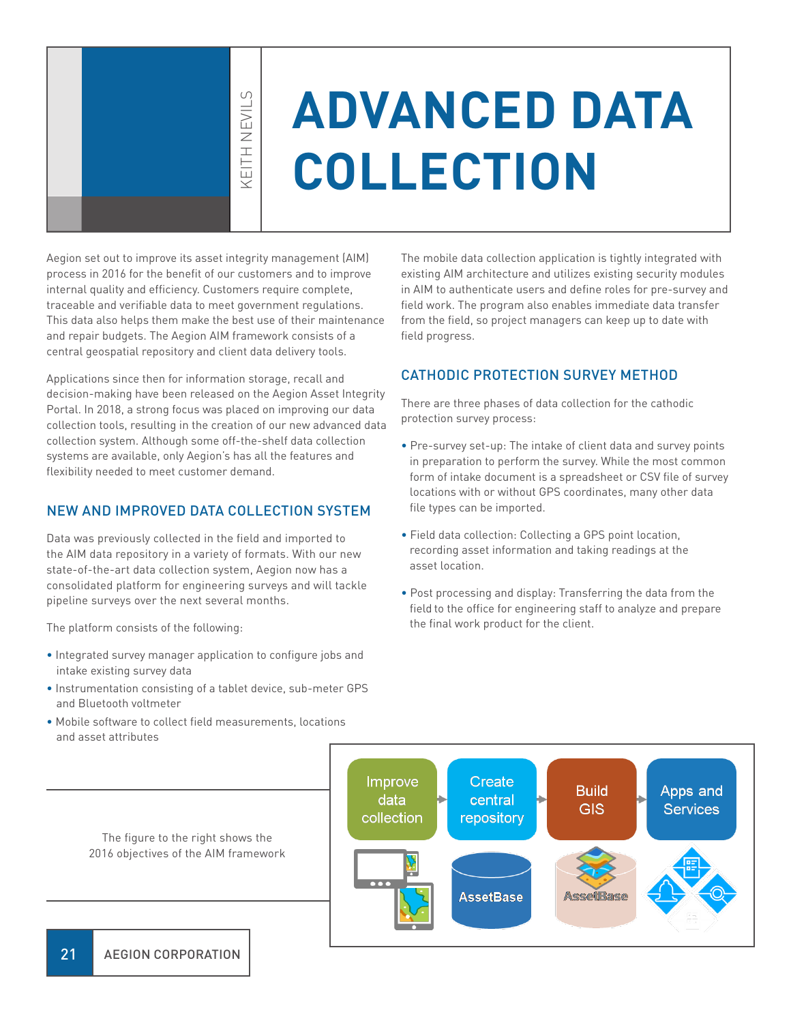KEITH NEVILS **KEITH NEVIL** 

 $\cup$ 

# **ADVANCED DATA COLLECTION**

Aegion set out to improve its asset integrity management (AIM) process in 2016 for the benefit of our customers and to improve internal quality and efficiency. Customers require complete, traceable and verifiable data to meet government regulations. This data also helps them make the best use of their maintenance and repair budgets. The Aegion AIM framework consists of a central geospatial repository and client data delivery tools.

Applications since then for information storage, recall and decision-making have been released on the Aegion Asset Integrity Portal. In 2018, a strong focus was placed on improving our data collection tools, resulting in the creation of our new advanced data collection system. Although some off-the-shelf data collection systems are available, only Aegion's has all the features and flexibility needed to meet customer demand.

#### NEW AND IMPROVED DATA COLLECTION SYSTEM

Data was previously collected in the field and imported to the AIM data repository in a variety of formats. With our new state-of-the-art data collection system, Aegion now has a consolidated platform for engineering surveys and will tackle pipeline surveys over the next several months.

The platform consists of the following:

- Integrated survey manager application to configure jobs and intake existing survey data
- Instrumentation consisting of a tablet device, sub-meter GPS and Bluetooth voltmeter
- Mobile software to collect field measurements, locations and asset attributes

The mobile data collection application is tightly integrated with existing AIM architecture and utilizes existing security modules in AIM to authenticate users and define roles for pre-survey and field work. The program also enables immediate data transfer from the field, so project managers can keep up to date with field progress.

#### CATHODIC PROTECTION SURVEY METHOD

There are three phases of data collection for the cathodic protection survey process:

- Pre-survey set-up: The intake of client data and survey points in preparation to perform the survey. While the most common form of intake document is a spreadsheet or CSV file of survey locations with or without GPS coordinates, many other data file types can be imported.
- Field data collection: Collecting a GPS point location, recording asset information and taking readings at the asset location.
- Post processing and display: Transferring the data from the field to the office for engineering staff to analyze and prepare the final work product for the client.



The figure to the right shows the 2016 objectives of the AIM framework